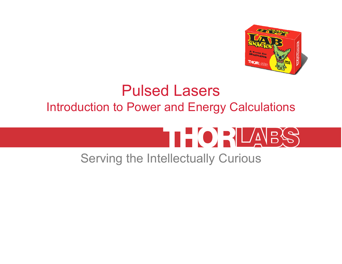

# Pulsed LasersIntroduction to Power and Energy Calculations



## Serving the Intellectually Curious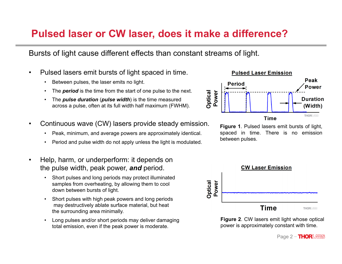### **Pulsed laser or CW laser, does it make a difference?**

Bursts of light cause different effects than constant streams of light.

- • Pulsed lasers emit bursts of light spaced in time.
	- •Between pulses, the laser emits no light.
	- •The *period* is the time from the start of one pulse to the next.
	- • The *pulse duration* (*pulse width*) is the time measured across a pulse, often at its full width half maximum (FWHM).
- • Continuous wave (CW) lasers provide steady emission.
	- •Peak, minimum, and average powers are approximately identical.
	- •Period and pulse width do not apply unless the light is modulated.
- • Help, harm, or underperform: it depends on the pulse width, peak power, *and* period.
	- • Short pulses and long periods may protect illuminated samples from overheating, by allowing them to cool down between bursts of light.
	- • Short pulses with high peak powers and long periods may destructively ablate surface material, but heat the surrounding area minimally.
	- • Long pulses and/or short periods may deliver damaging total emission, even if the peak power is moderate.



**Figure 1**. Pulsed lasers emit bursts of light, spaced in time. There is no emission between pulses.



**Figure 2**. CW lasers emit light whose optical power is approximately constant with time.

Page 2 −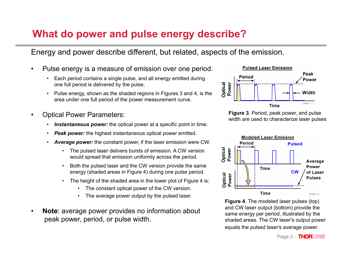## **What do power and pulse energy describe?**

Energy and power describe different, but related, aspects of the emission.

- • Pulse energy is a measure of emission over one period.
	- • Each period contains a single pulse, and all energy emitted during one full period is delivered by the pulse.
	- • Pulse energy, shown as the shaded regions in Figures 3 and 4, is the area under one full period of the power measurement curve.
- • Optical Power Parameters:
	- •*Instantaneous power:* the optical power at a specific point in time.
	- •*Peak power:* the highest instantaneous optical power emitted.
	- • *Average power:* the constant power, if the laser emission were CW.
		- • The pulsed laser delivers bursts of emission. A CW version would spread that emission uniformly across the period.
		- • Both the pulsed laser and the CW version provide the same energy (shaded areas in Figure 4) during one pulse period.
		- • The height of the shaded area in the lower plot of Figure 4 is:
			- The constant optical power of the CW version.
			- •The average power output by the pulsed laser.
- • **Note**: average power provides no information about peak power, period, or pulse width.







**Figure 4**. The modeled laser pulses (top) and CW laser output (bottom) provide the same energy per period, illustrated by the shaded areas. The CW laser's output power equals the pulsed laser's average power.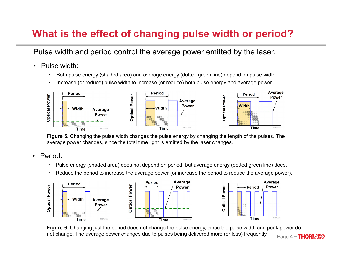## **What is the effect of changing pulse width or period?**

Pulse width and period control the average power emitted by the laser.

- $\bullet$  Pulse width:
	- •Both pulse energy (shaded area) and average energy (dotted green line) depend on pulse width.
	- •Increase (or reduce) pulse width to increase (or reduce) both pulse energy and average power.



**Figure 5**. Changing the pulse width changes the pulse energy by changing the length of the pulses. The average power changes, since the total time light is emitted by the laser changes.

- • Period:
	- •Pulse energy (shaded area) does not depend on period, but average energy (dotted green line) does.
	- •Reduce the period to increase the average power (or increase the period to reduce the average power).



**Figure 6**. Changing just the period does not change the pulse energy, since the pulse width and peak power do not change. The average power changes due to pulses being delivered more (or less) frequently.

Page 4 −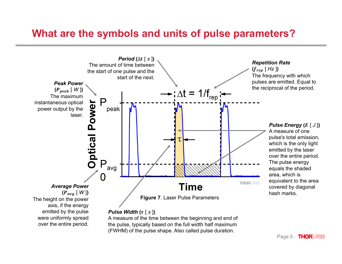#### **What are the symbols and units of pulse parameters?**

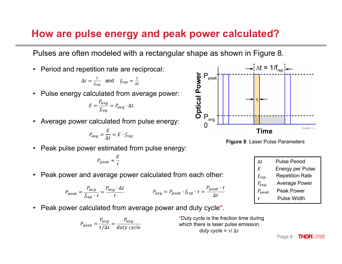#### How are pulse energy and peak power calculated?

Pulses are often modeled with a rectangular shape as shown in Figure 8.

Period and repetition rate are reciprocal:  $\bullet$ 

$$
\Delta t = \frac{1}{f_{rep}} \quad \text{and} \quad f_{rep} = \frac{1}{\Delta t}
$$

Pulse energy calculated from average power:  $\bullet$ 

$$
E=\frac{P_{avg}}{f_{rep}}=P_{avg}\cdot \Delta t
$$

Average power calculated from pulse energy:  $\bullet$ 

$$
P_{avg} = \frac{E}{\Delta t} = E \cdot f_{rep}
$$

Peak pulse power estimated from pulse energy:  $\bullet$ 

$$
P_{peak} \approx \frac{E}{\tau}
$$

Peak power and average power calculated from each other:  $\bullet$ 

$$
P_{peak} = \frac{P_{avg}}{f_{rep} \cdot \tau} = \frac{P_{avg} \cdot \Delta t}{\tau}
$$
\n
$$
P_{avg} = P_{peak} \cdot f_{rep} \cdot \tau = \frac{P_{peak} \cdot \tau}{\Delta t}
$$

• Peak power calculated from average power and duty cycle<sup>\*</sup>.

$$
P_{peak} = \frac{P_{avg}}{\tau/\Delta t} = \frac{P_{avg}}{duty\ cycle}
$$

\*Duty cycle is the fraction time during which there is laser pulse emission. duty cycle =  $\tau$ /  $\Delta t$ 





| Δt         | <b>Pulse Period</b>     |
|------------|-------------------------|
| E          | <b>Energy per Pulse</b> |
| frep       | <b>Repetition Rate</b>  |
| $P_{avg}$  | <b>Average Power</b>    |
| $P_{peak}$ | Peak Power              |
| T.         | Pulse Width             |
|            |                         |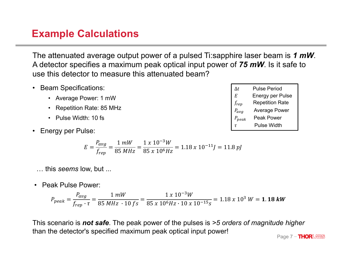#### **Example Calculations**

The attenuated average output power of a pulsed Ti:sapphire laser beam is *1 mW*. A detector specifies a maximum peak optical input power of *75 mW*. Is it safe to use this detector to measure this attenuated beam?

- Beam Specifications:
	- Average Power: 1 mW
	- Repetition Rate: 85 MHz
	- Pulse Width: 10 fs
- Energy per Pulse:

$$
E = \frac{P_{avg}}{f_{rep}} = \frac{1 \, mW}{85 \, MHz} = \frac{1 \, x \, 10^{-3} W}{85 \, x \, 10^6 Hz} = 1.18 \, x \, 10^{-11} J = 11.8 \, pJ
$$

… this *seems* low, but ...

• Peak Pulse Power:

$$
P_{peak} = \frac{P_{avg}}{f_{rep} \cdot \tau} = \frac{1 \, mW}{85 \, MHz \cdot 10 \, fs} = \frac{1 \, x \, 10^{-3} W}{85 \, x \, 10^6 Hz \cdot 10 \, x \, 10^{-15} s} = 1.18 \, x \, 10^3 \, W = 1.18 \, kW
$$

This scenario is *not safe*. The peak power of the pulses is *>5 orders of magnitude higher* than the detector's specified maximum peak optical input power!

Page 7 - **THOR**LABS

| $\Delta t$ | <b>Pulse Period</b>    |
|------------|------------------------|
| E          | Energy per Pulse       |
| $f_{rep}$  | <b>Repetition Rate</b> |
| $P_{avg}$  | <b>Average Power</b>   |
| $P_{peak}$ | <b>Peak Power</b>      |
|            |                        |

$$
\tau
$$
 **Pluse Width**

 $\tau$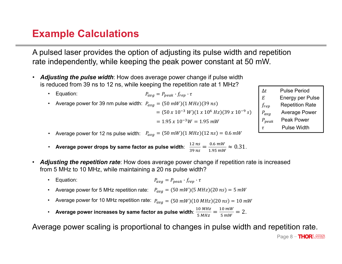## **Example Calculations**

A pulsed laser provides the option of adjusting its pulse width and repetition rate independently, while keeping the peak power constant at 50 mW.

- **Adjusting the pulse width**: How does average power change if pulse width  $\bullet$ is reduced from 39 ns to 12 ns, while keeping the repetition rate at 1 MHz?
	- Equation:  $P_{\alpha\nu\alpha} = P_{\nu e \alpha k} \cdot f_{\nu e \nu} \cdot \tau$  $\bullet$ Average power for 39 nm pulse width:  $P_{\alpha\nu\alpha} = (50 \text{ mW})(1 \text{ MHz})(39 \text{ ns})$  $\bullet$

$$
= (50 \times 10^{-3} W)(1 \times 10^{6} Hz)(39 \times 10^{-9} s)
$$
  
= 1.95 x 10<sup>-3</sup>W = 1.95 mW

- **Pulse Period**  $\Delta t$  $E$ **Energy per Pulse Repetition Rate**  $f_{rep}$ **Average Power**  $P_{avg}$  $P_{peak}$ Peak Power **Pulse Width**  $\tau$
- Average power for 12 ns pulse width:  $P_{avg} = (50 \text{ mW})(1 \text{ MHz})(12 \text{ ns}) = 0.6 \text{ mW}$  $\bullet$
- Average power drops by same factor as pulse width:  $\frac{12 \text{ ns}}{39 \text{ ns}} = \frac{0.6 \text{ mW}}{1.95 \text{ mW}} \approx 0.31$ .  $\bullet$
- Adjusting the repetition rate: How does average power change if repetition rate is increased from 5 MHz to 10 MHz, while maintaining a 20 ns pulse width?
	- Equation:  $P_{ava} = P_{peak} \cdot f_{ren} \cdot \tau$  $\bullet$
	- Average power for 5 MHz repetition rate:  $P_{avg} = (50 \text{ mW})(5 \text{ MHz})(20 \text{ ns}) = 5 \text{ mW}$
	- Average power for 10 MHz repetition rate:  $P_{avg} = (50 \text{ mW})(10 \text{ MHz})(20 \text{ ns}) = 10 \text{ mW}$  $\bullet$
	- Average power increases by same factor as pulse width:  $\frac{10 MHz}{5 MHz} = \frac{10 mW}{5 mW} = 2$ .

Average power scaling is proportional to changes in pulse width and repetition rate.

Page 8 - **THORLABS**